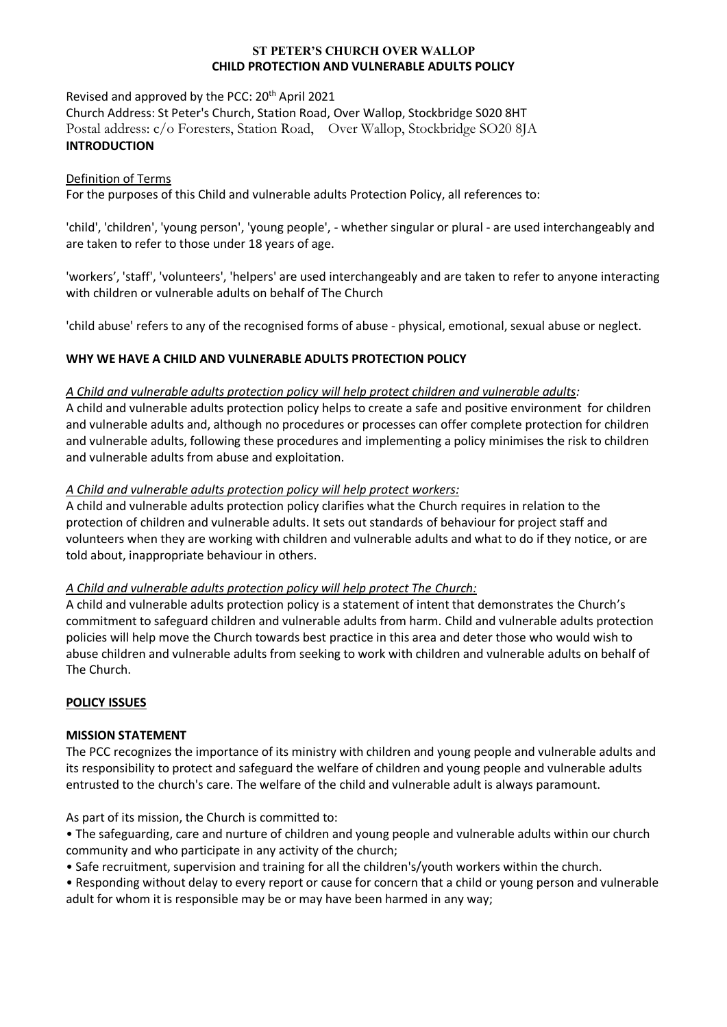#### **ST PETER'S CHURCH OVER WALLOP CHILD PROTECTION AND VULNERABLE ADULTS POLICY**

Revised and approved by the PCC: 28<sup>th</sup> April 2022 Church Address: St Peter's Church, Station Road, Over Wallop, Stockbridge S020 8HT **INTRODUCTION**  Postal address: c/o Foresters, Station Road, Over Wallop, Stockbridge SO20 8JA

## Definition of Terms

For the purposes of this Child and vulnerable adults Protection Policy, all references to:

'child', 'children', 'young person', 'young people', - whether singular or plural - are used interchangeably and are taken to refer to those under 18 years of age.

'workers', 'staff', 'volunteers', 'helpers' are used interchangeably and are taken to refer to anyone interacting with children or vulnerable adults on behalf of The Church

'child abuse' refers to any of the recognised forms of abuse - physical, emotional, sexual abuse or neglect.

## **WHY WE HAVE A CHILD AND VULNERABLE ADULTS PROTECTION POLICY**

## *A Child and vulnerable adults protection policy will help protect children and vulnerable adults:*

A child and vulnerable adults protection policy helps to create a safe and positive environment for children and vulnerable adults and, although no procedures or processes can offer complete protection for children and vulnerable adults, following these procedures and implementing a policy minimises the risk to children and vulnerable adults from abuse and exploitation.

## *A Child and vulnerable adults protection policy will help protect workers:*

A child and vulnerable adults protection policy clarifies what the Church requires in relation to the protection of children and vulnerable adults. It sets out standards of behaviour for project staff and volunteers when they are working with children and vulnerable adults and what to do if they notice, or are told about, inappropriate behaviour in others.

#### *A Child and vulnerable adults protection policy will help protect The Church:*

A child and vulnerable adults protection policy is a statement of intent that demonstrates the Church's commitment to safeguard children and vulnerable adults from harm. Child and vulnerable adults protection policies will help move the Church towards best practice in this area and deter those who would wish to abuse children and vulnerable adults from seeking to work with children and vulnerable adults on behalf of The Church.

#### **POLICY ISSUES**

## **MISSION STATEMENT**

The PCC recognizes the importance of its ministry with children and young people and vulnerable adults and its responsibility to protect and safeguard the welfare of children and young people and vulnerable adults entrusted to the church's care. The welfare of the child and vulnerable adult is always paramount.

As part of its mission, the Church is committed to:

• The safeguarding, care and nurture of children and young people and vulnerable adults within our church community and who participate in any activity of the church;

• Safe recruitment, supervision and training for all the children's/youth workers within the church.

• Responding without delay to every report or cause for concern that a child or young person and vulnerable adult for whom it is responsible may be or may have been harmed in any way;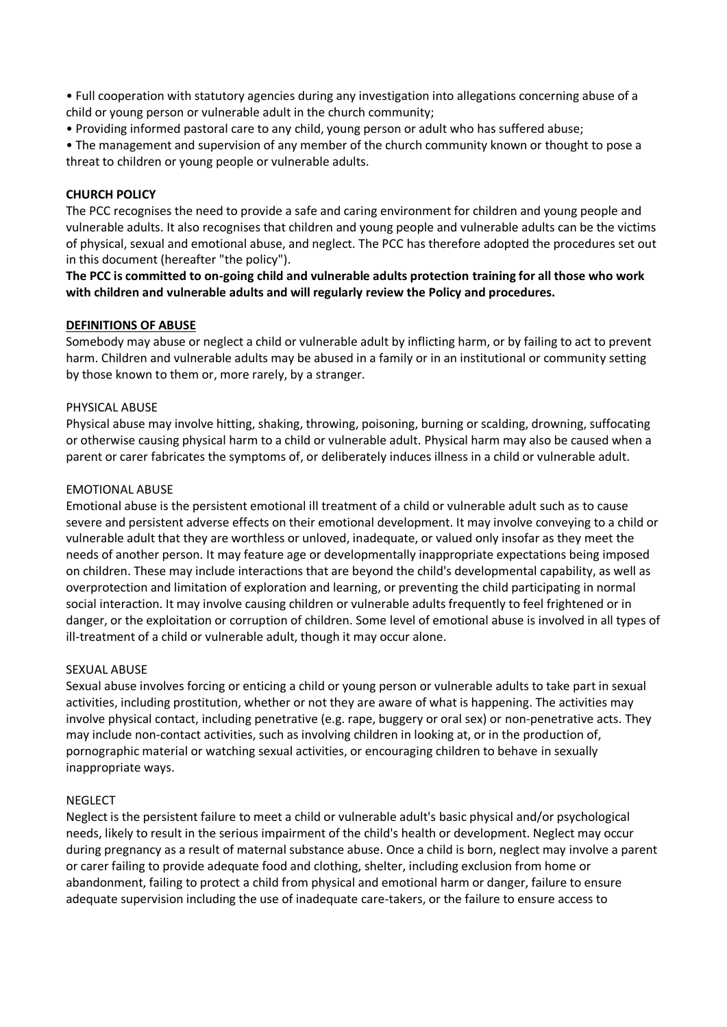• Full cooperation with statutory agencies during any investigation into allegations concerning abuse of a child or young person or vulnerable adult in the church community;

• Providing informed pastoral care to any child, young person or adult who has suffered abuse;

• The management and supervision of any member of the church community known or thought to pose a threat to children or young people or vulnerable adults.

### **CHURCH POLICY**

The PCC recognises the need to provide a safe and caring environment for children and young people and vulnerable adults. It also recognises that children and young people and vulnerable adults can be the victims of physical, sexual and emotional abuse, and neglect. The PCC has therefore adopted the procedures set out in this document (hereafter "the policy").

**The PCC is committed to on-going child and vulnerable adults protection training for all those who work with children and vulnerable adults and will regularly review the Policy and procedures.**

#### **DEFINITIONS OF ABUSE**

Somebody may abuse or neglect a child or vulnerable adult by inflicting harm, or by failing to act to prevent harm. Children and vulnerable adults may be abused in a family or in an institutional or community setting by those known to them or, more rarely, by a stranger.

## PHYSICAL ABUSE

Physical abuse may involve hitting, shaking, throwing, poisoning, burning or scalding, drowning, suffocating or otherwise causing physical harm to a child or vulnerable adult. Physical harm may also be caused when a parent or carer fabricates the symptoms of, or deliberately induces illness in a child or vulnerable adult.

## EMOTIONAL ABUSE

Emotional abuse is the persistent emotional ill treatment of a child or vulnerable adult such as to cause severe and persistent adverse effects on their emotional development. It may involve conveying to a child or vulnerable adult that they are worthless or unloved, inadequate, or valued only insofar as they meet the needs of another person. It may feature age or developmentally inappropriate expectations being imposed on children. These may include interactions that are beyond the child's developmental capability, as well as overprotection and limitation of exploration and learning, or preventing the child participating in normal social interaction. It may involve causing children or vulnerable adults frequently to feel frightened or in danger, or the exploitation or corruption of children. Some level of emotional abuse is involved in all types of ill-treatment of a child or vulnerable adult, though it may occur alone.

#### SEXUAL ABUSE

Sexual abuse involves forcing or enticing a child or young person or vulnerable adults to take part in sexual activities, including prostitution, whether or not they are aware of what is happening. The activities may involve physical contact, including penetrative (e.g. rape, buggery or oral sex) or non-penetrative acts. They may include non-contact activities, such as involving children in looking at, or in the production of, pornographic material or watching sexual activities, or encouraging children to behave in sexually inappropriate ways.

#### **NEGLECT**

Neglect is the persistent failure to meet a child or vulnerable adult's basic physical and/or psychological needs, likely to result in the serious impairment of the child's health or development. Neglect may occur during pregnancy as a result of maternal substance abuse. Once a child is born, neglect may involve a parent or carer failing to provide adequate food and clothing, shelter, including exclusion from home or abandonment, failing to protect a child from physical and emotional harm or danger, failure to ensure adequate supervision including the use of inadequate care-takers, or the failure to ensure access to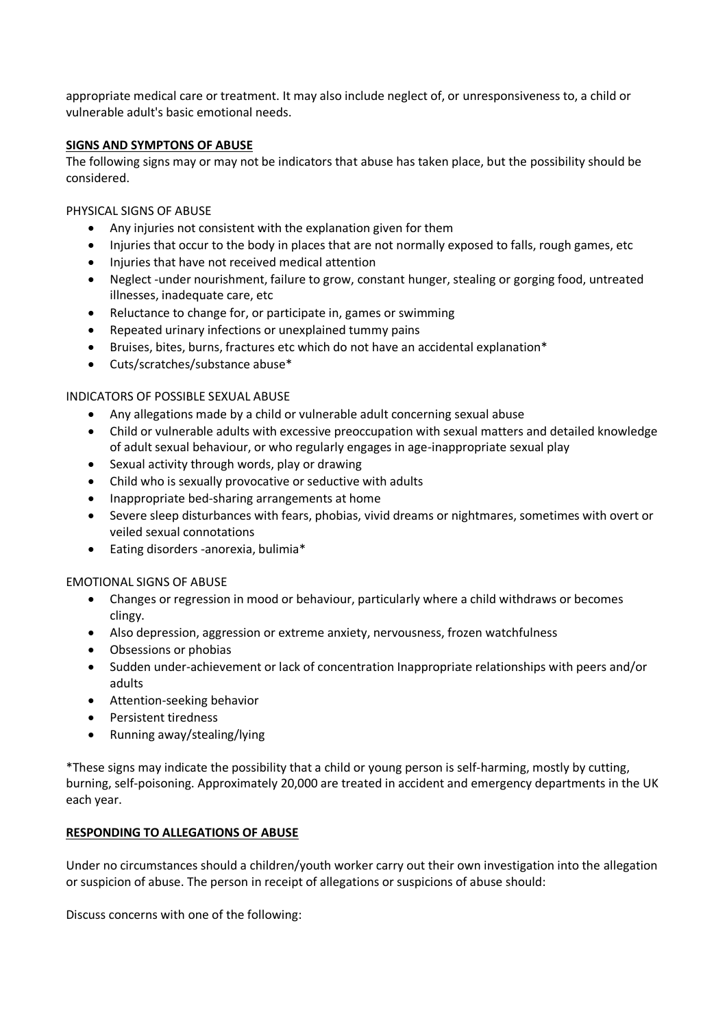appropriate medical care or treatment. It may also include neglect of, or unresponsiveness to, a child or vulnerable adult's basic emotional needs.

## **SIGNS AND SYMPTONS OF ABUSE**

The following signs may or may not be indicators that abuse has taken place, but the possibility should be considered.

### PHYSICAL SIGNS OF ABUSE

- Any injuries not consistent with the explanation given for them
- Injuries that occur to the body in places that are not normally exposed to falls, rough games, etc
- Injuries that have not received medical attention
- Neglect -under nourishment, failure to grow, constant hunger, stealing or gorging food, untreated illnesses, inadequate care, etc
- Reluctance to change for, or participate in, games or swimming
- Repeated urinary infections or unexplained tummy pains
- Bruises, bites, burns, fractures etc which do not have an accidental explanation\*
- Cuts/scratches/substance abuse\*

## INDICATORS OF POSSIBLE SEXUAL ABUSE

- Any allegations made by a child or vulnerable adult concerning sexual abuse
- Child or vulnerable adults with excessive preoccupation with sexual matters and detailed knowledge of adult sexual behaviour, or who regularly engages in age-inappropriate sexual play
- Sexual activity through words, play or drawing
- Child who is sexually provocative or seductive with adults
- Inappropriate bed-sharing arrangements at home
- Severe sleep disturbances with fears, phobias, vivid dreams or nightmares, sometimes with overt or veiled sexual connotations
- Eating disorders -anorexia, bulimia\*

#### EMOTIONAL SIGNS OF ABUSE

- Changes or regression in mood or behaviour, particularly where a child withdraws or becomes clingy.
- Also depression, aggression or extreme anxiety, nervousness, frozen watchfulness
- Obsessions or phobias
- Sudden under-achievement or lack of concentration Inappropriate relationships with peers and/or adults
- Attention-seeking behavior
- Persistent tiredness
- Running away/stealing/lying

\*These signs may indicate the possibility that a child or young person is self-harming, mostly by cutting, burning, self-poisoning. Approximately 20,000 are treated in accident and emergency departments in the UK each year.

#### **RESPONDING TO ALLEGATIONS OF ABUSE**

Under no circumstances should a children/youth worker carry out their own investigation into the allegation or suspicion of abuse. The person in receipt of allegations or suspicions of abuse should:

Discuss concerns with one of the following: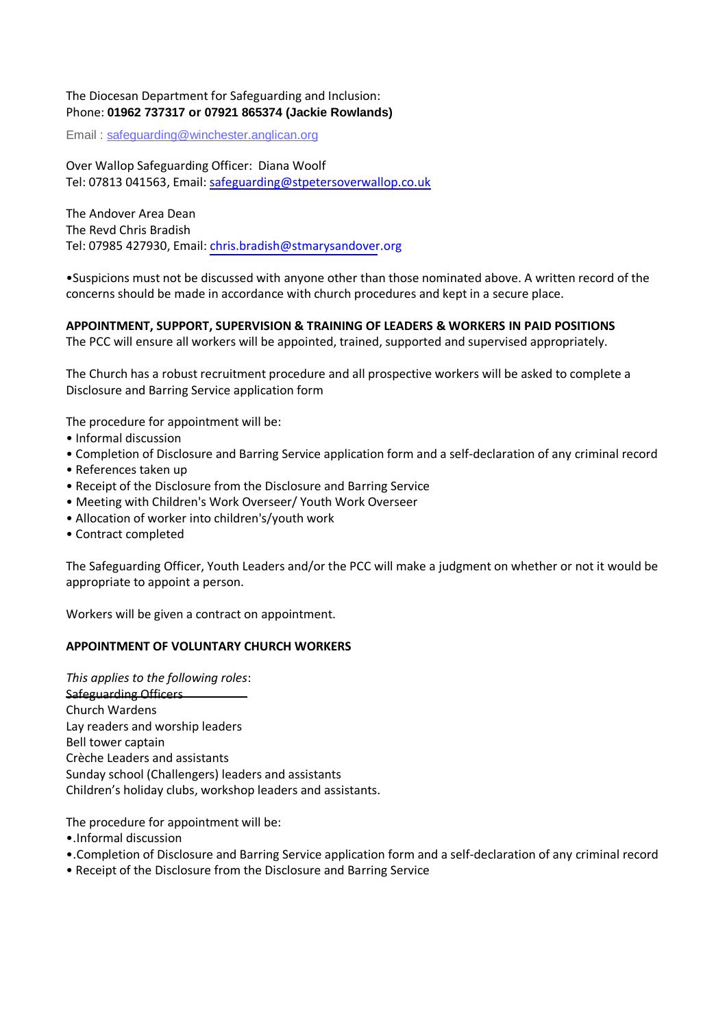## The Diocesan Department for Safeguarding and Inclusion: Phone: **01962 737317 or 07921 865374 (Jackie Rowlands)**

Email : [safeguarding@winchester.anglican.org](mailto:safeguarding@winchester.anglican.org) 

Over Wallop Safeguarding Officer: Diana Woolf Tel: 07813 041563, Email[: safeguarding@stpetersoverwallop.co.uk](mailto:safeguarding@stpetersoverwallop.co.uk) 

The Andover Area Dean The Revd Chris Bradish Tel: 07985 427930, Email: [chris.bradish@stmarysandover](mailto:revtrev@pastrowfamily.org.uk).org

•Suspicions must not be discussed with anyone other than those nominated above. A written record of the concerns should be made in accordance with church procedures and kept in a secure place.

## **APPOINTMENT, SUPPORT, SUPERVISION & TRAINING OF LEADERS & WORKERS IN PAID POSITIONS**

The PCC will ensure all workers will be appointed, trained, supported and supervised appropriately.

The Church has a robust recruitment procedure and all prospective workers will be asked to complete a Disclosure and Barring Service application form

The procedure for appointment will be:

- Informal discussion
- Completion of Disclosure and Barring Service application form and a self-declaration of any criminal record
- References taken up
- Receipt of the Disclosure from the Disclosure and Barring Service
- Meeting with Children's Work Overseer/ Youth Work Overseer
- Allocation of worker into children's/youth work
- Contract completed

The Safeguarding Officer, Youth Leaders and/or the PCC will make a judgment on whether or not it would be appropriate to appoint a person.

Workers will be given a contract on appointment.

#### **APPOINTMENT OF VOLUNTARY CHURCH WORKERS**

*This applies to the following roles*: Safeguarding Officers Church Wardens Lay readers and worship leaders Bell tower captain Crèche Leaders and assistants Sunday school (Challengers) leaders and assistants Children's holiday clubs, workshop leaders and assistants.

The procedure for appointment will be:

- •.Informal discussion
- •.Completion of Disclosure and Barring Service application form and a self-declaration of any criminal record
- Receipt of the Disclosure from the Disclosure and Barring Service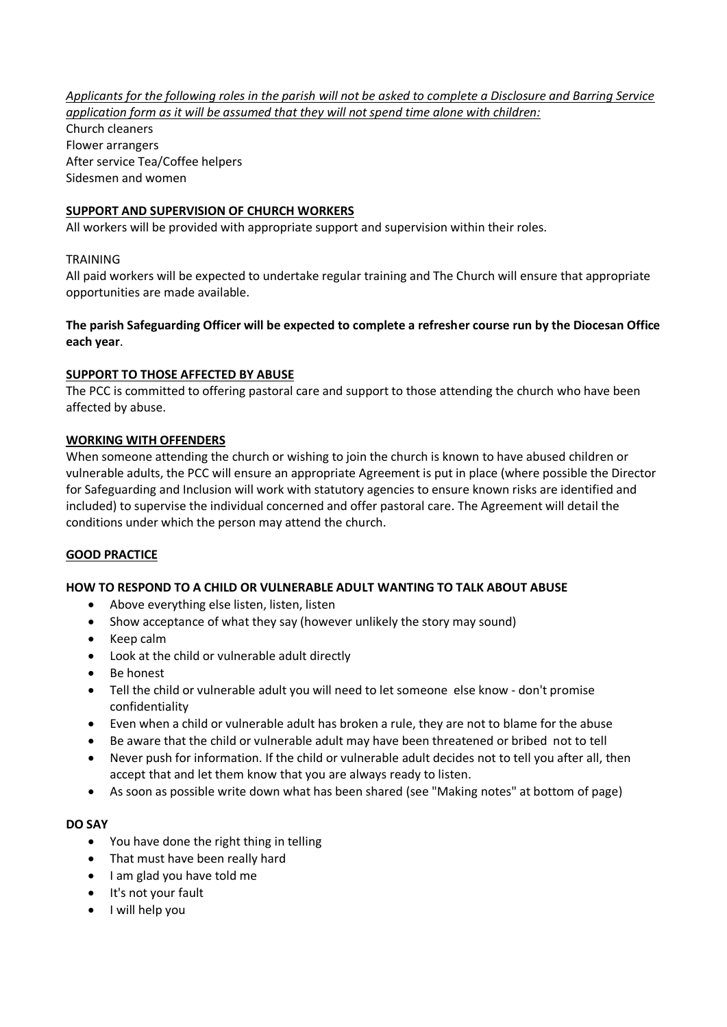*Applicants for the following roles in the parish will not be asked to complete a Disclosure and Barring Service application form as it will be assumed that they will not spend time alone with children:* Church cleaners Flower arrangers After service Tea/Coffee helpers Sidesmen and women

## **SUPPORT AND SUPERVISION OF CHURCH WORKERS**

All workers will be provided with appropriate support and supervision within their roles.

### TRAINING

All paid workers will be expected to undertake regular training and The Church will ensure that appropriate opportunities are made available.

## **The parish Safeguarding Officer will be expected to complete a refresher course run by the Diocesan Office each year**.

#### **SUPPORT TO THOSE AFFECTED BY ABUSE**

The PCC is committed to offering pastoral care and support to those attending the church who have been affected by abuse.

#### **WORKING WITH OFFENDERS**

When someone attending the church or wishing to join the church is known to have abused children or vulnerable adults, the PCC will ensure an appropriate Agreement is put in place (where possible the Director for Safeguarding and Inclusion will work with statutory agencies to ensure known risks are identified and included) to supervise the individual concerned and offer pastoral care. The Agreement will detail the conditions under which the person may attend the church.

#### **GOOD PRACTICE**

#### **HOW TO RESPOND TO A CHILD OR VULNERABLE ADULT WANTING TO TALK ABOUT ABUSE**

- Above everything else listen, listen, listen
- Show acceptance of what they say (however unlikely the story may sound)
- Keep calm
- Look at the child or vulnerable adult directly
- Be honest
- Tell the child or vulnerable adult you will need to let someone else know don't promise confidentiality
- Even when a child or vulnerable adult has broken a rule, they are not to blame for the abuse
- Be aware that the child or vulnerable adult may have been threatened or bribed not to tell
- Never push for information. If the child or vulnerable adult decides not to tell you after all, then accept that and let them know that you are always ready to listen.
- As soon as possible write down what has been shared (see "Making notes" at bottom of page)

#### **DO SAY**

- You have done the right thing in telling
- That must have been really hard
- I am glad you have told me
- It's not your fault
- I will help you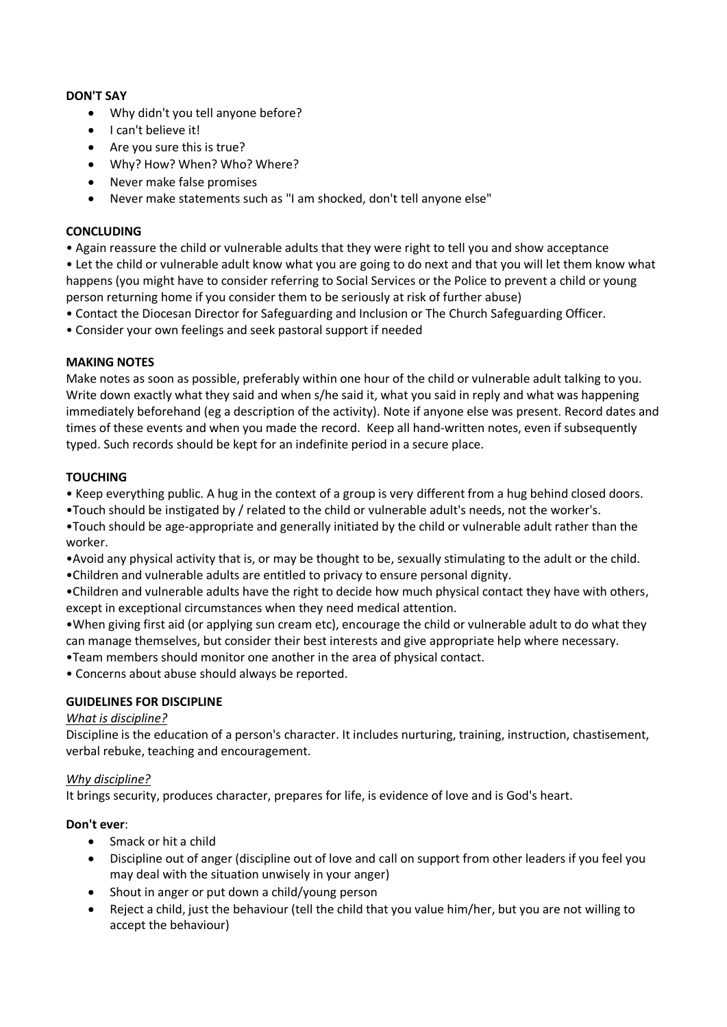## **DON'T SAY**

- Why didn't you tell anyone before?
- I can't believe it!
- Are you sure this is true?
- Why? How? When? Who? Where?
- Never make false promises
- Never make statements such as "I am shocked, don't tell anyone else"

## **CONCLUDING**

• Again reassure the child or vulnerable adults that they were right to tell you and show acceptance

• Let the child or vulnerable adult know what you are going to do next and that you will let them know what happens (you might have to consider referring to Social Services or the Police to prevent a child or young person returning home if you consider them to be seriously at risk of further abuse)

- Contact the Diocesan Director for Safeguarding and Inclusion or The Church Safeguarding Officer.
- Consider your own feelings and seek pastoral support if needed

## **MAKING NOTES**

Make notes as soon as possible, preferably within one hour of the child or vulnerable adult talking to you. Write down exactly what they said and when s/he said it, what you said in reply and what was happening immediately beforehand (eg a description of the activity). Note if anyone else was present. Record dates and times of these events and when you made the record. Keep all hand-written notes, even if subsequently typed. Such records should be kept for an indefinite period in a secure place.

## **TOUCHING**

- Keep everything public. A hug in the context of a group is very different from a hug behind closed doors.
- •Touch should be instigated by / related to the child or vulnerable adult's needs, not the worker's.

•Touch should be age-appropriate and generally initiated by the child or vulnerable adult rather than the worker.

- •Avoid any physical activity that is, or may be thought to be, sexually stimulating to the adult or the child.
- •Children and vulnerable adults are entitled to privacy to ensure personal dignity.

•Children and vulnerable adults have the right to decide how much physical contact they have with others, except in exceptional circumstances when they need medical attention.

•When giving first aid (or applying sun cream etc), encourage the child or vulnerable adult to do what they can manage themselves, but consider their best interests and give appropriate help where necessary. •Team members should monitor one another in the area of physical contact.

• Concerns about abuse should always be reported.

## **GUIDELINES FOR DISCIPLINE**

## *What is discipline?*

Discipline is the education of a person's character. It includes nurturing, training, instruction, chastisement, verbal rebuke, teaching and encouragement.

## *Why discipline?*

It brings security, produces character, prepares for life, is evidence of love and is God's heart.

## **Don't ever**:

- Smack or hit a child
- Discipline out of anger (discipline out of love and call on support from other leaders if you feel you may deal with the situation unwisely in your anger)
- Shout in anger or put down a child/young person
- Reject a child, just the behaviour (tell the child that you value him/her, but you are not willing to accept the behaviour)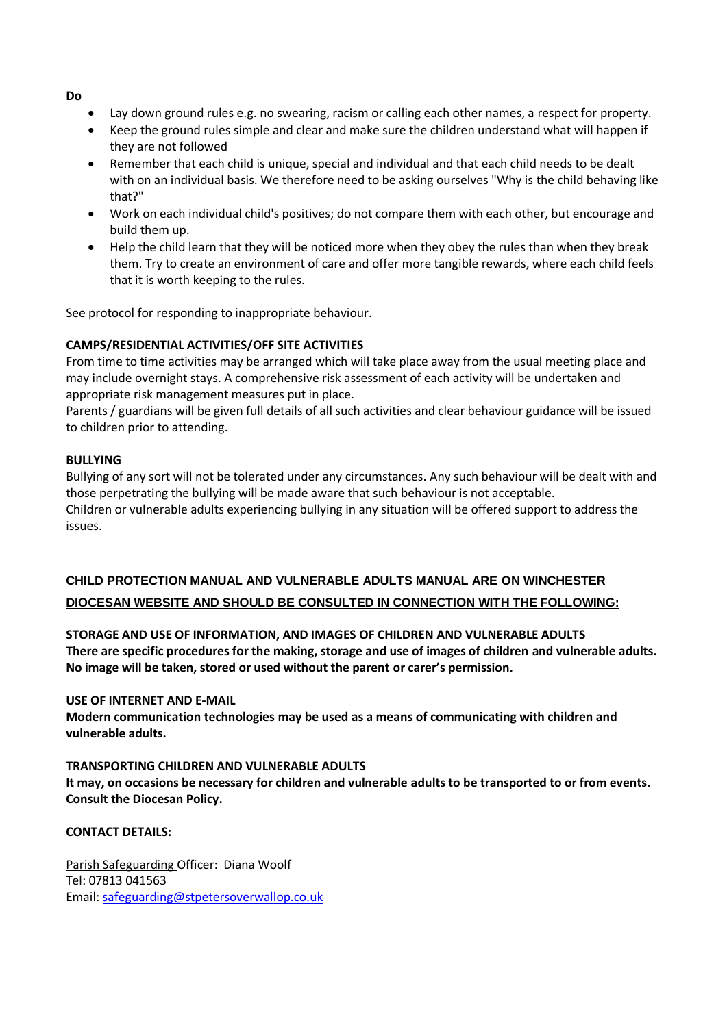**Do**

- Lay down ground rules e.g. no swearing, racism or calling each other names, a respect for property.
- Keep the ground rules simple and clear and make sure the children understand what will happen if they are not followed
- Remember that each child is unique, special and individual and that each child needs to be dealt with on an individual basis. We therefore need to be asking ourselves "Why is the child behaving like that?"
- Work on each individual child's positives; do not compare them with each other, but encourage and build them up.
- Help the child learn that they will be noticed more when they obey the rules than when they break them. Try to create an environment of care and offer more tangible rewards, where each child feels that it is worth keeping to the rules.

See protocol for responding to inappropriate behaviour.

## **CAMPS/RESIDENTIAL ACTIVITIES/OFF SITE ACTIVITIES**

From time to time activities may be arranged which will take place away from the usual meeting place and may include overnight stays. A comprehensive risk assessment of each activity will be undertaken and appropriate risk management measures put in place.

Parents / guardians will be given full details of all such activities and clear behaviour guidance will be issued to children prior to attending.

## **BULLYING**

Bullying of any sort will not be tolerated under any circumstances. Any such behaviour will be dealt with and those perpetrating the bullying will be made aware that such behaviour is not acceptable. Children or vulnerable adults experiencing bullying in any situation will be offered support to address the issues.

# **CHILD PROTECTION MANUAL AND VULNERABLE ADULTS MANUAL ARE ON WINCHESTER DIOCESAN WEBSITE AND SHOULD BE CONSULTED IN CONNECTION WITH THE FOLLOWING:**

**STORAGE AND USE OF INFORMATION, AND IMAGES OF CHILDREN AND VULNERABLE ADULTS There are specific procedures for the making, storage and use of images of children and vulnerable adults. No image will be taken, stored or used without the parent or carer's permission.**

#### **USE OF INTERNET AND E-MAIL**

**Modern communication technologies may be used as a means of communicating with children and vulnerable adults.** 

#### **TRANSPORTING CHILDREN AND VULNERABLE ADULTS**

**It may, on occasions be necessary for children and vulnerable adults to be transported to or from events. Consult the Diocesan Policy.**

#### **CONTACT DETAILS:**

Parish Safeguarding Officer: Diana Woolf Tel: 07813 041563 Email: [safeguarding@stpetersoverwallop.co.uk](mailto:safeguarding@stpetersoverwallop.co.uk)